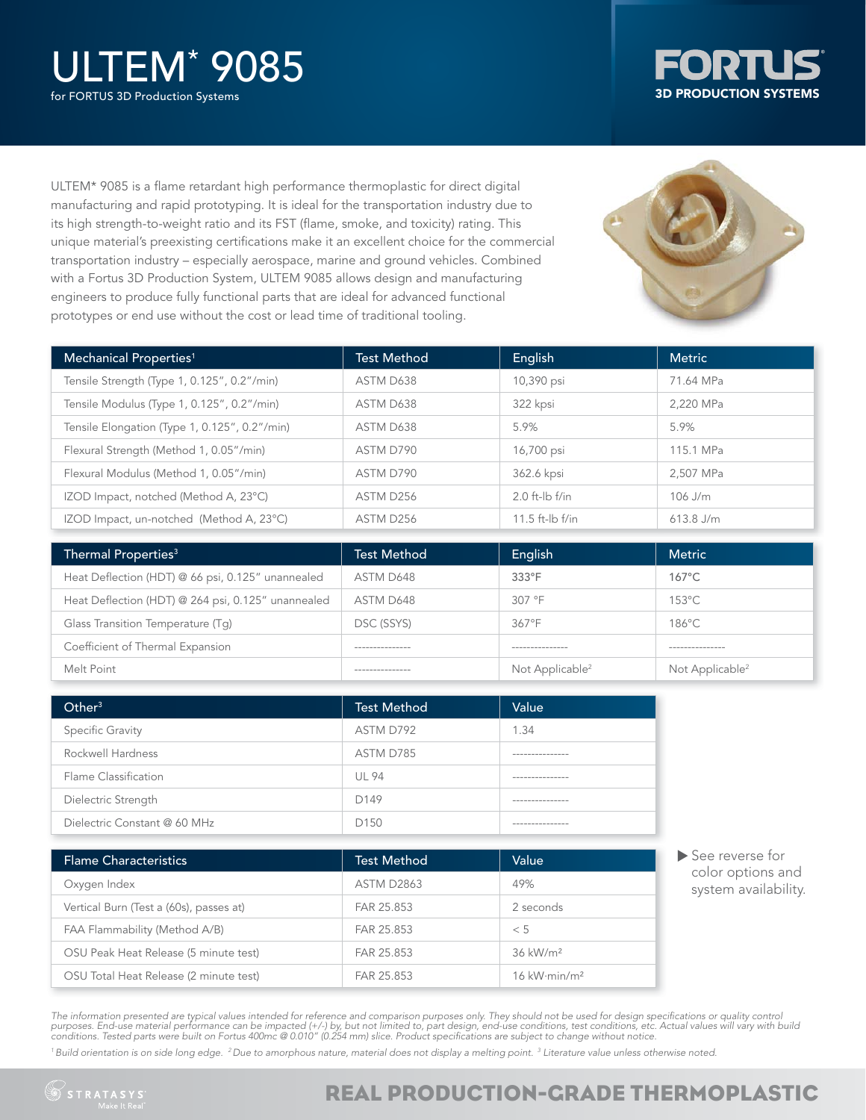# ULTEM\* 9085

for FORTUS 3D Production Systems



ULTEM\* 9085 is a flame retardant high performance thermoplastic for direct digital manufacturing and rapid prototyping. It is ideal for the transportation industry due to its high strength-to-weight ratio and its FST (flame, smoke, and toxicity) rating. This unique material's preexisting certifications make it an excellent choice for the commercial transportation industry – especially aerospace, marine and ground vehicles. Combined with a Fortus 3D Production System, ULTEM 9085 allows design and manufacturing engineers to produce fully functional parts that are ideal for advanced functional prototypes or end use without the cost or lead time of traditional tooling.



| Mechanical Properties <sup>1</sup>            | Test Method | English             | <b>Metric</b> |
|-----------------------------------------------|-------------|---------------------|---------------|
| Tensile Strength (Type 1, 0.125", 0.2"/min)   | ASTM D638   | 10,390 psi          | 71.64 MPa     |
| Tensile Modulus (Type 1, 0.125", 0.2"/min)    | ASTM D638   | 322 kpsi            | 2.220 MPa     |
| Tensile Elongation (Type 1, 0.125", 0.2"/min) | ASTM D638   | 5.9%                | 5.9%          |
| Flexural Strength (Method 1, 0.05"/min)       | ASTM D790   | 16,700 psi          | 115.1 MPa     |
| Flexural Modulus (Method 1, 0.05"/min)        | ASTM D790   | 362.6 kpsi          | 2.507 MPa     |
| IZOD Impact, notched (Method A, 23°C)         | ASTM D256   | $2.0$ ft-lb f/in    | $106$ J/m     |
| IZOD Impact, un-notched (Method A, 23°C)      | ASTM D256   | 11.5 ft- $ b $ f/in | $613.8$ J/m   |

| Thermal Properties <sup>3</sup>                    | <b>Test Method</b> | English                     | <b>Metric</b>               |
|----------------------------------------------------|--------------------|-----------------------------|-----------------------------|
| Heat Deflection (HDT) @ 66 psi, 0.125" unannealed  | ASTM D648          | $333^\circ F$               | $167^{\circ}$ C             |
| Heat Deflection (HDT) @ 264 psi, 0.125" unannealed | ASTM D648          | 307 °F                      | $153^{\circ}$ C             |
| Glass Transition Temperature (Tq)                  | DSC (SSYS)         | $367^{\circ}F$              | $186^{\circ}$ C             |
| Coefficient of Thermal Expansion                   | ---------------    | ---------------             | ---------------             |
| Melt Point                                         | ---------------    | Not Applicable <sup>2</sup> | Not Applicable <sup>2</sup> |

| Other <sup>3</sup>           | <b>Test Method</b> | Value            |
|------------------------------|--------------------|------------------|
| Specific Gravity             | ASTM D792          | 1.34             |
| Rockwell Hardness            | ASTM D785          | ---------------- |
| Flame Classification         | <b>UL 94</b>       | ---------------  |
| Dielectric Strength          | D149               | --------------   |
| Dielectric Constant @ 60 MHz | D <sub>150</sub>   |                  |

| <b>Flame Characteristics</b>            | <b>Test Method</b> | Value                              |
|-----------------------------------------|--------------------|------------------------------------|
| Oxygen Index                            | <b>ASTM D2863</b>  | 49%                                |
| Vertical Burn (Test a (60s), passes at) | FAR 25.853         | 2 seconds                          |
| FAA Flammability (Method A/B)           | FAR 25.853         | < 5                                |
| OSU Peak Heat Release (5 minute test)   | FAR 25.853         | 36 kW/m <sup>2</sup>               |
| OSU Total Heat Release (2 minute test)  | FAR 25.853         | $16$ kW $\cdot$ min/m <sup>2</sup> |

See reverse for color options and system availability.

The information presented are typical values intended for reference and comparison purposes only. They should not be used for design specifications or quality control purposes. End-use material performance can be impacted (+/-) by, but not limited to, part design, end-use conditions, test conditions, etc. Actual values will vary with build<br>conditions. Tested parts were built on Fortus 4

<sup>1</sup> Build orientation is on side long edge. <sup>2</sup> Due to amorphous nature, material does not display a melting point. <sup>3</sup> Literature value unless otherwise noted.



### REAL PRODUCTION-GRADE THERMOPLASTIC